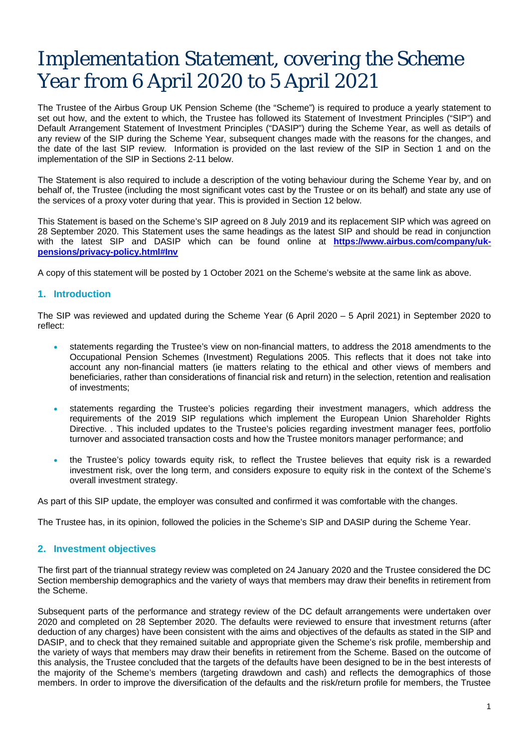# *Implementation Statement, covering the Scheme Year from 6 April 2020 to 5 April 2021*

The Trustee of the Airbus Group UK Pension Scheme (the "Scheme") is required to produce a yearly statement to set out how, and the extent to which, the Trustee has followed its Statement of Investment Principles ("SIP") and Default Arrangement Statement of Investment Principles ("DASIP") during the Scheme Year, as well as details of any review of the SIP during the Scheme Year, subsequent changes made with the reasons for the changes, and the date of the last SIP review. Information is provided on the last review of the SIP in Section 1 and on the implementation of the SIP in Sections 2-11 below.

The Statement is also required to include a description of the voting behaviour during the Scheme Year by, and on behalf of, the Trustee (including the most significant votes cast by the Trustee or on its behalf) and state any use of the services of a proxy voter during that year. This is provided in Section 12 below.

This Statement is based on the Scheme's SIP agreed on 8 July 2019 and its replacement SIP which was agreed on 28 September 2020. This Statement uses the same headings as the latest SIP and should be read in conjunction with the latest SIP and DASIP which can be found online at **[https://www.airbus.com/company/uk](https://www.airbus.com/company/uk-pensions/privacy-policy.html#Inv)[pensions/privacy-policy.html#Inv](https://www.airbus.com/company/uk-pensions/privacy-policy.html#Inv)**

A copy of this statement will be posted by 1 October 2021 on the Scheme's website at the same link as above.

# **1. Introduction**

The SIP was reviewed and updated during the Scheme Year (6 April 2020 – 5 April 2021) in September 2020 to reflect:

- statements regarding the Trustee's view on non-financial matters, to address the 2018 amendments to the Occupational Pension Schemes (Investment) Regulations 2005. This reflects that it does not take into account any non-financial matters (ie matters relating to the ethical and other views of members and beneficiaries, rather than considerations of financial risk and return) in the selection, retention and realisation of investments;
- statements regarding the Trustee's policies regarding their investment managers, which address the requirements of the 2019 SIP regulations which implement the European Union Shareholder Rights Directive. . This included updates to the Trustee's policies regarding investment manager fees, portfolio turnover and associated transaction costs and how the Trustee monitors manager performance; and
- the Trustee's policy towards equity risk, to reflect the Trustee believes that equity risk is a rewarded investment risk, over the long term, and considers exposure to equity risk in the context of the Scheme's overall investment strategy.

As part of this SIP update, the employer was consulted and confirmed it was comfortable with the changes.

The Trustee has, in its opinion, followed the policies in the Scheme's SIP and DASIP during the Scheme Year.

# **2. Investment objectives**

The first part of the triannual strategy review was completed on 24 January 2020 and the Trustee considered the DC Section membership demographics and the variety of ways that members may draw their benefits in retirement from the Scheme.

Subsequent parts of the performance and strategy review of the DC default arrangements were undertaken over 2020 and completed on 28 September 2020. The defaults were reviewed to ensure that investment returns (after deduction of any charges) have been consistent with the aims and objectives of the defaults as stated in the SIP and DASIP, and to check that they remained suitable and appropriate given the Scheme's risk profile, membership and the variety of ways that members may draw their benefits in retirement from the Scheme. Based on the outcome of this analysis, the Trustee concluded that the targets of the defaults have been designed to be in the best interests of the majority of the Scheme's members (targeting drawdown and cash) and reflects the demographics of those members. In order to improve the diversification of the defaults and the risk/return profile for members, the Trustee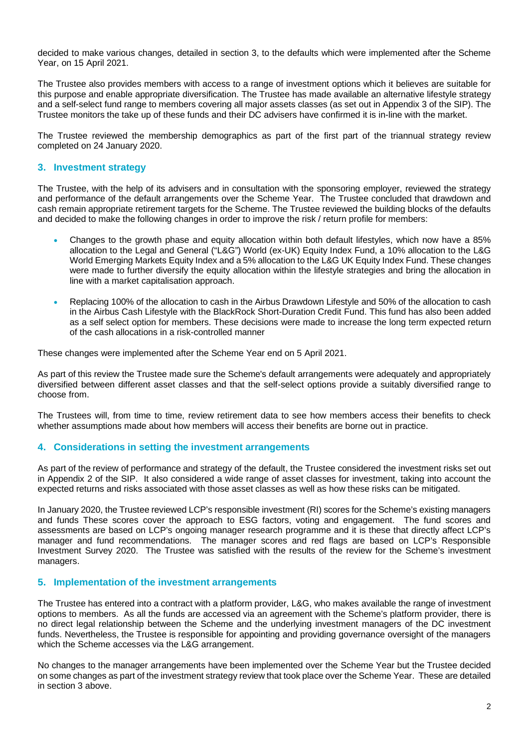decided to make various changes, detailed in section 3, to the defaults which were implemented after the Scheme Year, on 15 April 2021.

The Trustee also provides members with access to a range of investment options which it believes are suitable for this purpose and enable appropriate diversification. The Trustee has made available an alternative lifestyle strategy and a self-select fund range to members covering all major assets classes (as set out in Appendix 3 of the SIP). The Trustee monitors the take up of these funds and their DC advisers have confirmed it is in-line with the market.

The Trustee reviewed the membership demographics as part of the first part of the triannual strategy review completed on 24 January 2020.

# **3. Investment strategy**

The Trustee, with the help of its advisers and in consultation with the sponsoring employer, reviewed the strategy and performance of the default arrangements over the Scheme Year. The Trustee concluded that drawdown and cash remain appropriate retirement targets for the Scheme. The Trustee reviewed the building blocks of the defaults and decided to make the following changes in order to improve the risk / return profile for members:

- Changes to the growth phase and equity allocation within both default lifestyles, which now have a 85% allocation to the Legal and General ("L&G") World (ex-UK) Equity Index Fund, a 10% allocation to the L&G World Emerging Markets Equity Index and a 5% allocation to the L&G UK Equity Index Fund. These changes were made to further diversify the equity allocation within the lifestyle strategies and bring the allocation in line with a market capitalisation approach.
- Replacing 100% of the allocation to cash in the Airbus Drawdown Lifestyle and 50% of the allocation to cash in the Airbus Cash Lifestyle with the BlackRock Short-Duration Credit Fund. This fund has also been added as a self select option for members. These decisions were made to increase the long term expected return of the cash allocations in a risk-controlled manner

These changes were implemented after the Scheme Year end on 5 April 2021.

As part of this review the Trustee made sure the Scheme's default arrangements were adequately and appropriately diversified between different asset classes and that the self-select options provide a suitably diversified range to choose from.

The Trustees will, from time to time, review retirement data to see how members access their benefits to check whether assumptions made about how members will access their benefits are borne out in practice.

# **4. Considerations in setting the investment arrangements**

As part of the review of performance and strategy of the default, the Trustee considered the investment risks set out in Appendix 2 of the SIP. It also considered a wide range of asset classes for investment, taking into account the expected returns and risks associated with those asset classes as well as how these risks can be mitigated.

In January 2020, the Trustee reviewed LCP's responsible investment (RI) scores for the Scheme's existing managers and funds These scores cover the approach to ESG factors, voting and engagement. The fund scores and assessments are based on LCP's ongoing manager research programme and it is these that directly affect LCP's manager and fund recommendations. The manager scores and red flags are based on LCP's Responsible Investment Survey 2020. The Trustee was satisfied with the results of the review for the Scheme's investment managers.

# **5. Implementation of the investment arrangements**

The Trustee has entered into a contract with a platform provider, L&G, who makes available the range of investment options to members. As all the funds are accessed via an agreement with the Scheme's platform provider, there is no direct legal relationship between the Scheme and the underlying investment managers of the DC investment funds. Nevertheless, the Trustee is responsible for appointing and providing governance oversight of the managers which the Scheme accesses via the L&G arrangement.

No changes to the manager arrangements have been implemented over the Scheme Year but the Trustee decided on some changes as part of the investment strategy review that took place over the Scheme Year. These are detailed in section 3 above.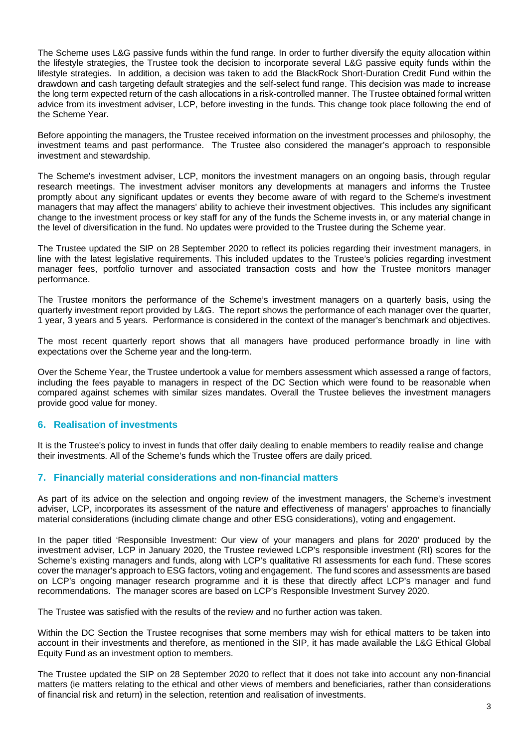The Scheme uses L&G passive funds within the fund range. In order to further diversify the equity allocation within the lifestyle strategies, the Trustee took the decision to incorporate several L&G passive equity funds within the lifestyle strategies. In addition, a decision was taken to add the BlackRock Short-Duration Credit Fund within the drawdown and cash targeting default strategies and the self-select fund range. This decision was made to increase the long term expected return of the cash allocations in a risk-controlled manner. The Trustee obtained formal written advice from its investment adviser, LCP, before investing in the funds. This change took place following the end of the Scheme Year.

Before appointing the managers, the Trustee received information on the investment processes and philosophy, the investment teams and past performance. The Trustee also considered the manager's approach to responsible investment and stewardship.

The Scheme's investment adviser, LCP, monitors the investment managers on an ongoing basis, through regular research meetings. The investment adviser monitors any developments at managers and informs the Trustee promptly about any significant updates or events they become aware of with regard to the Scheme's investment managers that may affect the managers' ability to achieve their investment objectives. This includes any significant change to the investment process or key staff for any of the funds the Scheme invests in, or any material change in the level of diversification in the fund. No updates were provided to the Trustee during the Scheme year.

The Trustee updated the SIP on 28 September 2020 to reflect its policies regarding their investment managers, in line with the latest legislative requirements. This included updates to the Trustee's policies regarding investment manager fees, portfolio turnover and associated transaction costs and how the Trustee monitors manager performance.

The Trustee monitors the performance of the Scheme's investment managers on a quarterly basis, using the quarterly investment report provided by L&G. The report shows the performance of each manager over the quarter, 1 year, 3 years and 5 years. Performance is considered in the context of the manager's benchmark and objectives.

The most recent quarterly report shows that all managers have produced performance broadly in line with expectations over the Scheme year and the long-term.

Over the Scheme Year, the Trustee undertook a value for members assessment which assessed a range of factors, including the fees payable to managers in respect of the DC Section which were found to be reasonable when compared against schemes with similar sizes mandates. Overall the Trustee believes the investment managers provide good value for money.

# **6. Realisation of investments**

It is the Trustee's policy to invest in funds that offer daily dealing to enable members to readily realise and change their investments. All of the Scheme's funds which the Trustee offers are daily priced.

# **7. Financially material considerations and non-financial matters**

As part of its advice on the selection and ongoing review of the investment managers, the Scheme's investment adviser, LCP, incorporates its assessment of the nature and effectiveness of managers' approaches to financially material considerations (including climate change and other ESG considerations), voting and engagement.

In the paper titled 'Responsible Investment: Our view of your managers and plans for 2020' produced by the investment adviser, LCP in January 2020, the Trustee reviewed LCP's responsible investment (RI) scores for the Scheme's existing managers and funds, along with LCP's qualitative RI assessments for each fund. These scores cover the manager's approach to ESG factors, voting and engagement. The fund scores and assessments are based on LCP's ongoing manager research programme and it is these that directly affect LCP's manager and fund recommendations. The manager scores are based on LCP's Responsible Investment Survey 2020.

The Trustee was satisfied with the results of the review and no further action was taken.

Within the DC Section the Trustee recognises that some members may wish for ethical matters to be taken into account in their investments and therefore, as mentioned in the SIP, it has made available the L&G Ethical Global Equity Fund as an investment option to members.

The Trustee updated the SIP on 28 September 2020 to reflect that it does not take into account any non-financial matters (ie matters relating to the ethical and other views of members and beneficiaries, rather than considerations of financial risk and return) in the selection, retention and realisation of investments.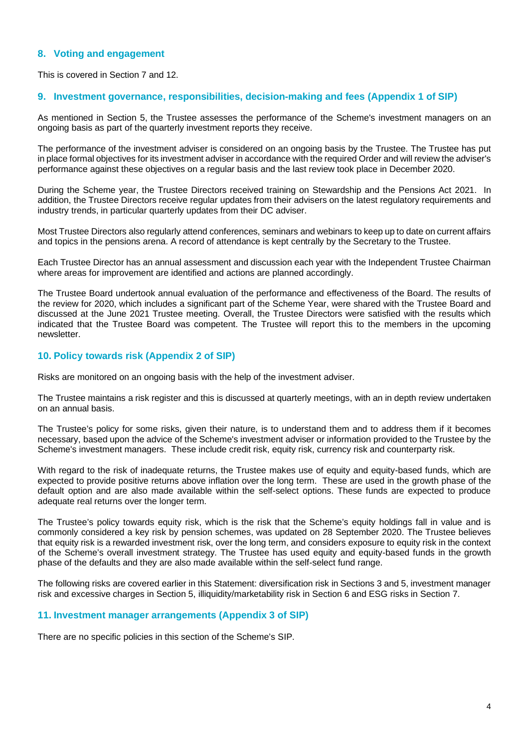# **8. Voting and engagement**

This is covered in Section 7 and 12.

# **9. Investment governance, responsibilities, decision-making and fees (Appendix 1 of SIP)**

As mentioned in Section 5, the Trustee assesses the performance of the Scheme's investment managers on an ongoing basis as part of the quarterly investment reports they receive.

The performance of the investment adviser is considered on an ongoing basis by the Trustee. The Trustee has put in place formal objectives for its investment adviser in accordance with the required Order and will review the adviser's performance against these objectives on a regular basis and the last review took place in December 2020.

During the Scheme year, the Trustee Directors received training on Stewardship and the Pensions Act 2021. In addition, the Trustee Directors receive regular updates from their advisers on the latest regulatory requirements and industry trends, in particular quarterly updates from their DC adviser.

Most Trustee Directors also regularly attend conferences, seminars and webinars to keep up to date on current affairs and topics in the pensions arena. A record of attendance is kept centrally by the Secretary to the Trustee.

Each Trustee Director has an annual assessment and discussion each year with the Independent Trustee Chairman where areas for improvement are identified and actions are planned accordingly.

The Trustee Board undertook annual evaluation of the performance and effectiveness of the Board. The results of the review for 2020, which includes a significant part of the Scheme Year, were shared with the Trustee Board and discussed at the June 2021 Trustee meeting. Overall, the Trustee Directors were satisfied with the results which indicated that the Trustee Board was competent. The Trustee will report this to the members in the upcoming newsletter.

# **10. Policy towards risk (Appendix 2 of SIP)**

Risks are monitored on an ongoing basis with the help of the investment adviser.

The Trustee maintains a risk register and this is discussed at quarterly meetings, with an in depth review undertaken on an annual basis.

The Trustee's policy for some risks, given their nature, is to understand them and to address them if it becomes necessary, based upon the advice of the Scheme's investment adviser or information provided to the Trustee by the Scheme's investment managers. These include credit risk, equity risk, currency risk and counterparty risk.

With regard to the risk of inadequate returns, the Trustee makes use of equity and equity-based funds, which are expected to provide positive returns above inflation over the long term. These are used in the growth phase of the default option and are also made available within the self-select options. These funds are expected to produce adequate real returns over the longer term.

The Trustee's policy towards equity risk, which is the risk that the Scheme's equity holdings fall in value and is commonly considered a key risk by pension schemes, was updated on 28 September 2020. The Trustee believes that equity risk is a rewarded investment risk, over the long term, and considers exposure to equity risk in the context of the Scheme's overall investment strategy. The Trustee has used equity and equity-based funds in the growth phase of the defaults and they are also made available within the self-select fund range.

The following risks are covered earlier in this Statement: diversification risk in Sections 3 and 5, investment manager risk and excessive charges in Section 5, illiquidity/marketability risk in Section 6 and ESG risks in Section 7.

# **11. Investment manager arrangements (Appendix 3 of SIP)**

There are no specific policies in this section of the Scheme's SIP.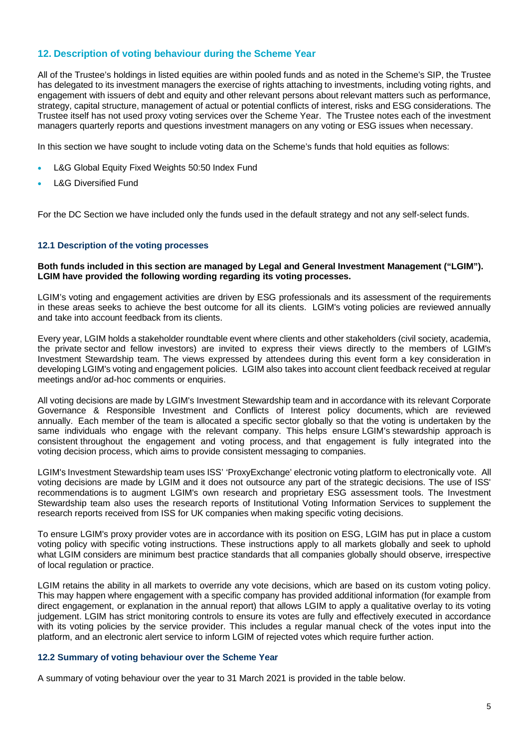# **12. Description of voting behaviour during the Scheme Year**

All of the Trustee's holdings in listed equities are within pooled funds and as noted in the Scheme's SIP, the Trustee has delegated to its investment managers the exercise of rights attaching to investments, including voting rights, and engagement with issuers of debt and equity and other relevant persons about relevant matters such as performance, strategy, capital structure, management of actual or potential conflicts of interest, risks and ESG considerations. The Trustee itself has not used proxy voting services over the Scheme Year. The Trustee notes each of the investment managers quarterly reports and questions investment managers on any voting or ESG issues when necessary.

In this section we have sought to include voting data on the Scheme's funds that hold equities as follows:

- L&G Global Equity Fixed Weights 50:50 Index Fund
- L&G Diversified Fund

For the DC Section we have included only the funds used in the default strategy and not any self-select funds.

#### **12.1 Description of the voting processes**

#### **Both funds included in this section are managed by Legal and General Investment Management ("LGIM"). LGIM have provided the following wording regarding its voting processes.**

LGIM's voting and engagement activities are driven by ESG professionals and its assessment of the requirements in these areas seeks to achieve the best outcome for all its clients. LGIM's voting policies are reviewed annually and take into account feedback from its clients.

Every year, LGIM holds a stakeholder roundtable event where clients and other stakeholders (civil society, academia, the private sector and fellow investors) are invited to express their views directly to the members of LGIM's Investment Stewardship team. The views expressed by attendees during this event form a key consideration in developing LGIM's voting and engagement policies. LGIM also takes into account client feedback received at regular meetings and/or ad-hoc comments or enquiries.

All voting decisions are made by LGIM's Investment Stewardship team and in accordance with its relevant Corporate Governance & Responsible Investment and Conflicts of Interest policy documents, which are reviewed annually. Each member of the team is allocated a specific sector globally so that the voting is undertaken by the same individuals who engage with the relevant company. This helps ensure LGIM's stewardship approach is consistent throughout the engagement and voting process, and that engagement is fully integrated into the voting decision process, which aims to provide consistent messaging to companies.

LGIM's Investment Stewardship team uses ISS' 'ProxyExchange' electronic voting platform to electronically vote. All voting decisions are made by LGIM and it does not outsource any part of the strategic decisions. The use of ISS' recommendations is to augment LGIM's own research and proprietary ESG assessment tools. The Investment Stewardship team also uses the research reports of Institutional Voting Information Services to supplement the research reports received from ISS for UK companies when making specific voting decisions.

To ensure LGIM's proxy provider votes are in accordance with its position on ESG, LGIM has put in place a custom voting policy with specific voting instructions. These instructions apply to all markets globally and seek to uphold what LGIM considers are minimum best practice standards that all companies globally should observe, irrespective of local regulation or practice.

LGIM retains the ability in all markets to override any vote decisions, which are based on its custom voting policy. This may happen where engagement with a specific company has provided additional information (for example from direct engagement, or explanation in the annual report) that allows LGIM to apply a qualitative overlay to its voting judgement. LGIM has strict monitoring controls to ensure its votes are fully and effectively executed in accordance with its voting policies by the service provider. This includes a regular manual check of the votes input into the platform, and an electronic alert service to inform LGIM of rejected votes which require further action.

# **12.2 Summary of voting behaviour over the Scheme Year**

A summary of voting behaviour over the year to 31 March 2021 is provided in the table below.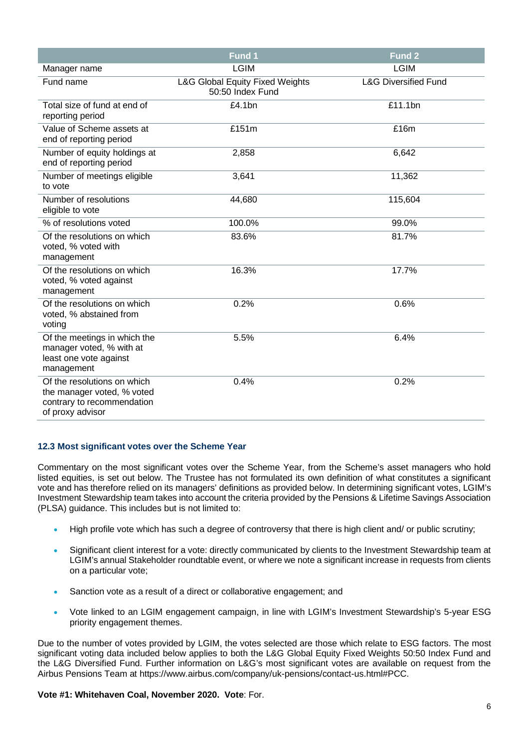|                                                                                                             | Fund 1                                                         | Fund <sub>2</sub>               |
|-------------------------------------------------------------------------------------------------------------|----------------------------------------------------------------|---------------------------------|
| Manager name                                                                                                | <b>LGIM</b>                                                    | <b>LGIM</b>                     |
| Fund name                                                                                                   | <b>L&amp;G Global Equity Fixed Weights</b><br>50:50 Index Fund | <b>L&amp;G Diversified Fund</b> |
| Total size of fund at end of<br>reporting period                                                            | £4.1bn                                                         | £11.1bn                         |
| Value of Scheme assets at<br>end of reporting period                                                        | £151m                                                          | £16m                            |
| Number of equity holdings at<br>end of reporting period                                                     | 2,858                                                          | 6,642                           |
| Number of meetings eligible<br>to vote                                                                      | 3,641                                                          | 11,362                          |
| Number of resolutions<br>eligible to vote                                                                   | 44,680                                                         | 115,604                         |
| % of resolutions voted                                                                                      | 100.0%                                                         | 99.0%                           |
| Of the resolutions on which<br>voted, % voted with<br>management                                            | 83.6%                                                          | 81.7%                           |
| Of the resolutions on which<br>voted, % voted against<br>management                                         | 16.3%                                                          | 17.7%                           |
| Of the resolutions on which<br>voted, % abstained from<br>voting                                            | 0.2%                                                           | 0.6%                            |
| Of the meetings in which the<br>manager voted, % with at<br>least one vote against<br>management            | 5.5%                                                           | 6.4%                            |
| Of the resolutions on which<br>the manager voted, % voted<br>contrary to recommendation<br>of proxy advisor | 0.4%                                                           | 0.2%                            |

# **12.3 Most significant votes over the Scheme Year**

Commentary on the most significant votes over the Scheme Year, from the Scheme's asset managers who hold listed equities, is set out below. The Trustee has not formulated its own definition of what constitutes a significant vote and has therefore relied on its managers' definitions as provided below. In determining significant votes, LGIM's Investment Stewardship team takes into account the criteria provided by the Pensions & Lifetime Savings Association (PLSA) guidance. This includes but is not limited to:

- High profile vote which has such a degree of controversy that there is high client and/ or public scrutiny;
- Significant client interest for a vote: directly communicated by clients to the Investment Stewardship team at LGIM's annual Stakeholder roundtable event, or where we note a significant increase in requests from clients on a particular vote;
- Sanction vote as a result of a direct or collaborative engagement; and
- Vote linked to an LGIM engagement campaign, in line with LGIM's Investment Stewardship's 5-year ESG priority engagement themes.

Due to the number of votes provided by LGIM, the votes selected are those which relate to ESG factors. The most significant voting data included below applies to both the L&G Global Equity Fixed Weights 50:50 Index Fund and the L&G Diversified Fund. Further information on L&G's most significant votes are available on request from the Airbus Pensions Team at https://www.airbus.com/company/uk-pensions/contact-us.html#PCC.

**Vote #1: Whitehaven Coal, November 2020. Vote**: For.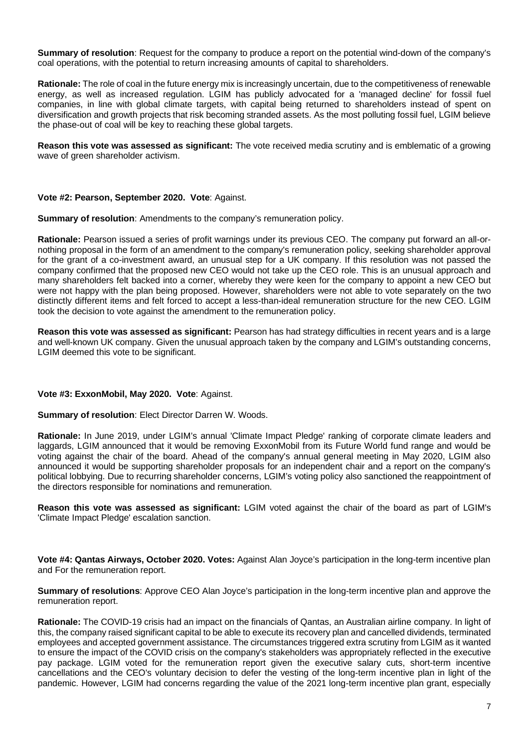**Summary of resolution**: Request for the company to produce a report on the potential wind-down of the company's coal operations, with the potential to return increasing amounts of capital to shareholders.

**Rationale:** The role of coal in the future energy mix is increasingly uncertain, due to the competitiveness of renewable energy, as well as increased regulation. LGIM has publicly advocated for a 'managed decline' for fossil fuel companies, in line with global climate targets, with capital being returned to shareholders instead of spent on diversification and growth projects that risk becoming stranded assets. As the most polluting fossil fuel, LGIM believe the phase-out of coal will be key to reaching these global targets.

**Reason this vote was assessed as significant:** The vote received media scrutiny and is emblematic of a growing wave of green shareholder activism.

**Vote #2: Pearson, September 2020. Vote**: Against.

**Summary of resolution**: Amendments to the company's remuneration policy.

**Rationale:** Pearson issued a series of profit warnings under its previous CEO. The company put forward an all-ornothing proposal in the form of an amendment to the company's remuneration policy, seeking shareholder approval for the grant of a co-investment award, an unusual step for a UK company. If this resolution was not passed the company confirmed that the proposed new CEO would not take up the CEO role. This is an unusual approach and many shareholders felt backed into a corner, whereby they were keen for the company to appoint a new CEO but were not happy with the plan being proposed. However, shareholders were not able to vote separately on the two distinctly different items and felt forced to accept a less-than-ideal remuneration structure for the new CEO. LGIM took the decision to vote against the amendment to the remuneration policy.

**Reason this vote was assessed as significant:** Pearson has had strategy difficulties in recent years and is a large and well-known UK company. Given the unusual approach taken by the company and LGIM's outstanding concerns, LGIM deemed this vote to be significant.

# **Vote #3: ExxonMobil, May 2020. Vote**: Against.

**Summary of resolution**: Elect Director Darren W. Woods.

**Rationale:** In June 2019, under LGIM's annual 'Climate Impact Pledge' ranking of corporate climate leaders and laggards, LGIM announced that it would be removing ExxonMobil from its Future World fund range and would be voting against the chair of the board. Ahead of the company's annual general meeting in May 2020, LGIM also announced it would be supporting shareholder proposals for an independent chair and a report on the company's political lobbying. Due to recurring shareholder concerns, LGIM's voting policy also sanctioned the reappointment of the directors responsible for nominations and remuneration.

**Reason this vote was assessed as significant:** LGIM voted against the chair of the board as part of LGIM's 'Climate Impact Pledge' escalation sanction.

**Vote #4: Qantas Airways, October 2020. Votes:** Against Alan Joyce's participation in the long-term incentive plan and For the remuneration report.

**Summary of resolutions**: Approve CEO Alan Joyce's participation in the long-term incentive plan and approve the remuneration report.

**Rationale:** The COVID-19 crisis had an impact on the financials of Qantas, an Australian airline company. In light of this, the company raised significant capital to be able to execute its recovery plan and cancelled dividends, terminated employees and accepted government assistance. The circumstances triggered extra scrutiny from LGIM as it wanted to ensure the impact of the COVID crisis on the company's stakeholders was appropriately reflected in the executive pay package. LGIM voted for the remuneration report given the executive salary cuts, short-term incentive cancellations and the CEO's voluntary decision to defer the vesting of the long-term incentive plan in light of the pandemic. However, LGIM had concerns regarding the value of the 2021 long-term incentive plan grant, especially